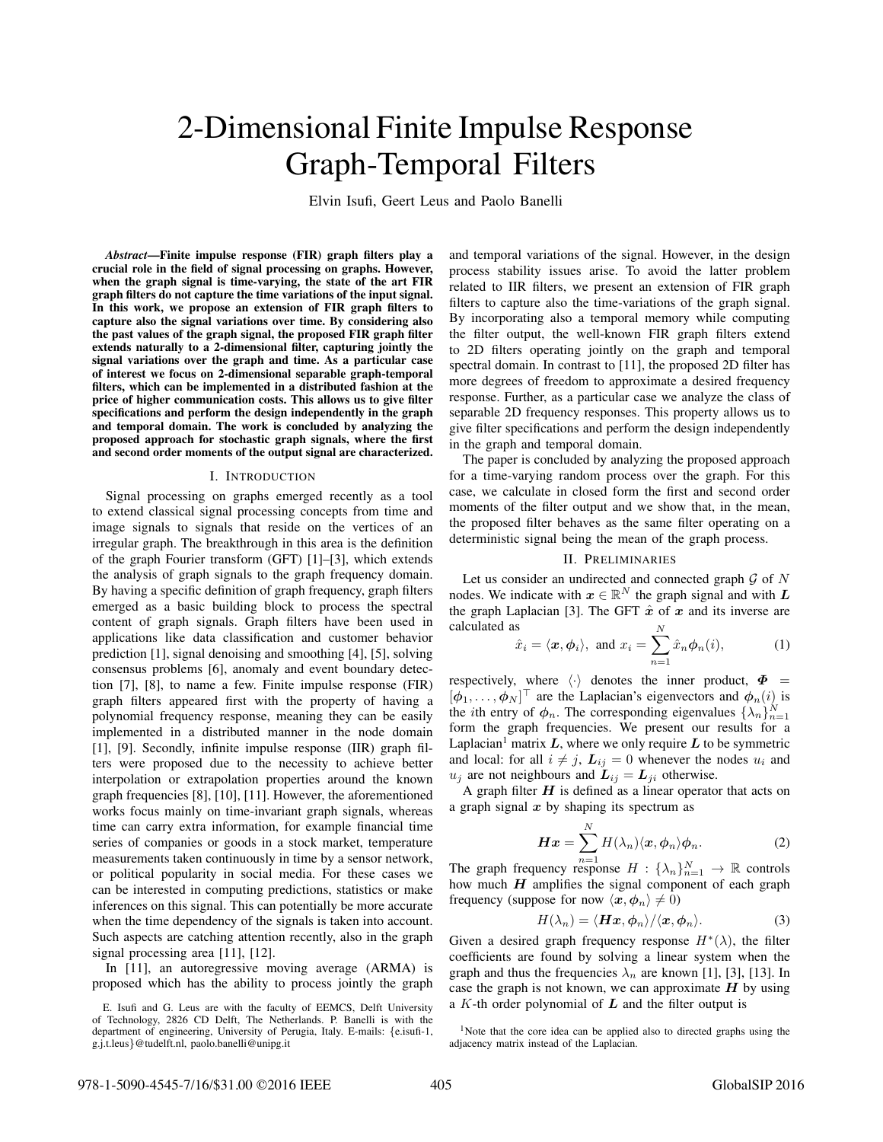# 2-Dimensional Finite Impulse Response Graph-Temporal Filters

Elvin Isufi, Geert Leus and Paolo Banelli

*Abstract*—Finite impulse response (FIR) graph filters play a crucial role in the field of signal processing on graphs. However, when the graph signal is time-varying, the state of the art FIR graph filters do not capture the time variations of the input signal. In this work, we propose an extension of FIR graph filters to capture also the signal variations over time. By considering also the past values of the graph signal, the proposed FIR graph filter extends naturally to a 2-dimensional filter, capturing jointly the signal variations over the graph and time. As a particular case of interest we focus on 2-dimensional separable graph-temporal filters, which can be implemented in a distributed fashion at the price of higher communication costs. This allows us to give filter specifications and perform the design independently in the graph and temporal domain. The work is concluded by analyzing the proposed approach for stochastic graph signals, where the first and second order moments of the output signal are characterized.

#### I. INTRODUCTION

Signal processing on graphs emerged recently as a tool to extend classical signal processing concepts from time and image signals to signals that reside on the vertices of an irregular graph. The breakthrough in this area is the definition of the graph Fourier transform (GFT) [1]–[3], which extends the analysis of graph signals to the graph frequency domain. By having a specific definition of graph frequency, graph filters emerged as a basic building block to process the spectral content of graph signals. Graph filters have been used in applications like data classification and customer behavior prediction [1], signal denoising and smoothing [4], [5], solving consensus problems [6], anomaly and event boundary detection [7], [8], to name a few. Finite impulse response (FIR) graph filters appeared first with the property of having a polynomial frequency response, meaning they can be easily implemented in a distributed manner in the node domain [1], [9]. Secondly, infinite impulse response (IIR) graph filters were proposed due to the necessity to achieve better interpolation or extrapolation properties around the known graph frequencies [8], [10], [11]. However, the aforementioned works focus mainly on time-invariant graph signals, whereas time can carry extra information, for example financial time series of companies or goods in a stock market, temperature measurements taken continuously in time by a sensor network, or political popularity in social media. For these cases we can be interested in computing predictions, statistics or make inferences on this signal. This can potentially be more accurate when the time dependency of the signals is taken into account. Such aspects are catching attention recently, also in the graph signal processing area [11], [12].

In [11], an autoregressive moving average (ARMA) is proposed which has the ability to process jointly the graph

and temporal variations of the signal. However, in the design process stability issues arise. To avoid the latter problem related to IIR filters, we present an extension of FIR graph filters to capture also the time-variations of the graph signal. By incorporating also a temporal memory while computing the filter output, the well-known FIR graph filters extend to 2D filters operating jointly on the graph and temporal spectral domain. In contrast to [11], the proposed 2D filter has more degrees of freedom to approximate a desired frequency response. Further, as a particular case we analyze the class of separable 2D frequency responses. This property allows us to give filter specifications and perform the design independently in the graph and temporal domain.

The paper is concluded by analyzing the proposed approach for a time-varying random process over the graph. For this case, we calculate in closed form the first and second order moments of the filter output and we show that, in the mean, the proposed filter behaves as the same filter operating on a deterministic signal being the mean of the graph process.

## II. PRELIMINARIES

Let us consider an undirected and connected graph  $G$  of  $N$ nodes. We indicate with  $x \in \mathbb{R}^N$  the graph signal and with  $L$ the graph Laplacian [3]. The GFT  $\hat{x}$  of  $x$  and its inverse are calculated as

$$
\hat{x}_i = \langle \boldsymbol{x}, \boldsymbol{\phi}_i \rangle
$$
, and  $x_i = \sum_{n=1}^{\infty} \hat{x}_n \boldsymbol{\phi}_n(i)$ , (1)

respectively, where  $\langle \cdot \rangle$  denotes the inner product,  $\Phi$  =  $[\phi_1, \ldots, \phi_N]$ <sup>1</sup> are the Laplacian's eigenvectors and  $\phi_n(i)$  is<br>the *i*th outry of  $\phi$ . The corresponding eigenvalues  $(1, 1)^N$ the *i*th entry of  $\phi_n$ . The corresponding eigenvalues  $\{\lambda_n\}_{n=1}^N$ <br>form the graph frequencies. We present our results for a form the graph frequencies. We present our results for a Laplacian<sup>1</sup> matrix  $L$ , where we only require  $L$  to be symmetric and local: for all  $i \neq j$ ,  $L_{ij} = 0$  whenever the nodes  $u_i$  and  $u_j$  are not neighbours and  $\mathbf{L}_{ij} = \mathbf{L}_{ji}$  otherwise.

A graph filter  $H$  is defined as a linear operator that acts on a graph signal *x* by shaping its spectrum as

$$
\boldsymbol{H}\boldsymbol{x} = \sum_{n=1}^{N} H(\lambda_n) \langle \boldsymbol{x}, \boldsymbol{\phi}_n \rangle \boldsymbol{\phi}_n.
$$
 (2)

The graph frequency response  $H : {\lambda_n}_{n=1}^N \to \mathbb{R}$  controls<br>how much **H** amplifies the signal component of each graph how much *H* amplifies the signal component of each graph frequency (suppose for now  $\langle x, \phi_n \rangle \neq 0$ )

$$
H(\lambda_n) = \langle \boldsymbol{H}\boldsymbol{x}, \boldsymbol{\phi}_n \rangle / \langle \boldsymbol{x}, \boldsymbol{\phi}_n \rangle.
$$
 (3)

Given a desired graph frequency response  $H^*(\lambda)$ , the filter coefficients are found by solving a linear system when the graph and thus the frequencies  $\lambda_n$  are known [1], [3], [13]. In case the graph is not known, we can approximate  $H$  by using a K-th order polynomial of *L* and the filter output is

E. Isufi and G. Leus are with the faculty of EEMCS, Delft University of Technology, 2826 CD Delft, The Netherlands. P. Banelli is with the department of engineering, University of Perugia, Italy. E-mails: {e.isufi-1, g.j.t.leus}@tudelft.nl, paolo.banelli@unipg.it

<sup>&</sup>lt;sup>1</sup>Note that the core idea can be applied also to directed graphs using the adjacency matrix instead of the Laplacian.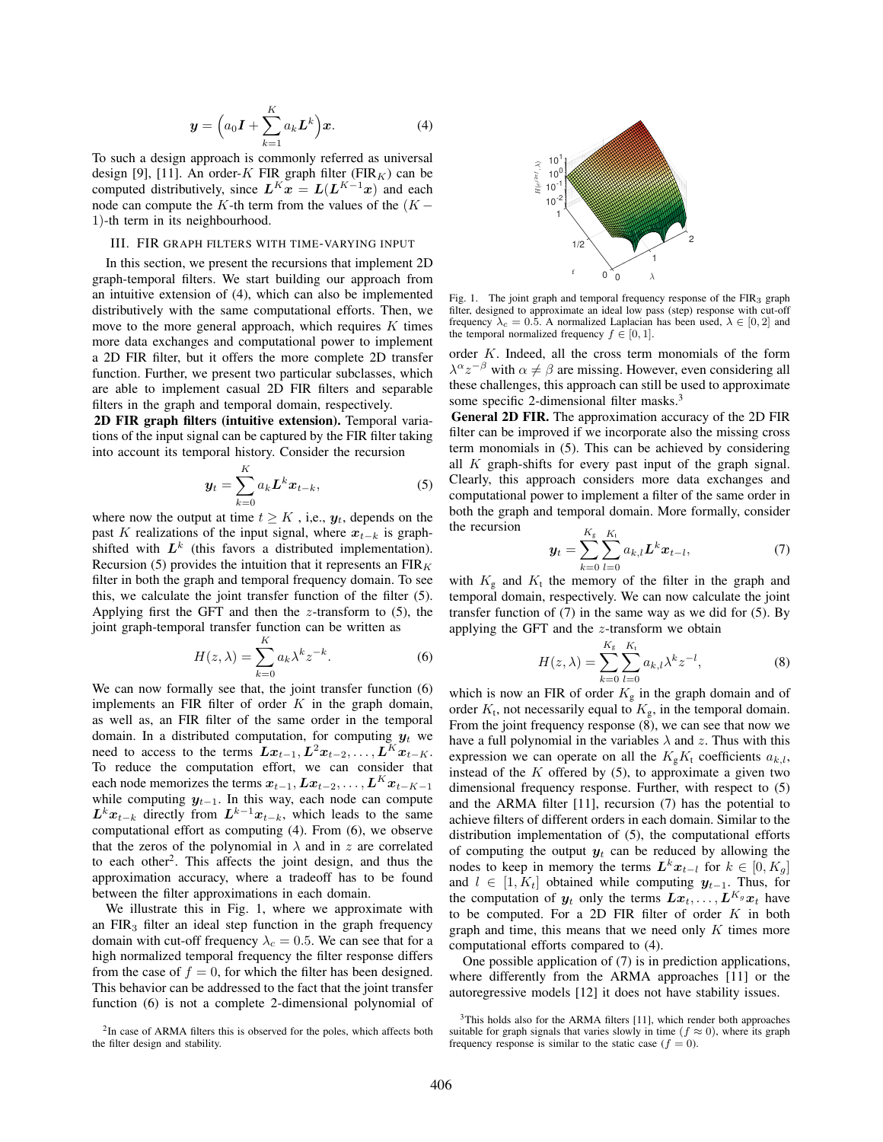$$
\mathbf{y} = \left(a_0 \mathbf{I} + \sum_{k=1}^{K} a_k \mathbf{L}^k\right) \mathbf{x}.\tag{4}
$$

 $k=1$ <br>To such a design approach is commonly referred as universal design [9], [11]. An order-K FIR graph filter ( $FIR_K$ ) can be computed distributively, since  $L^{K}x = L(L^{K-1}x)$  and each node can compute the K-th term from the values of the  $(K -$ 1)-th term in its neighbourhood.

## III. FIR GRAPH FILTERS WITH TIME-VARYING INPUT

In this section, we present the recursions that implement 2D graph-temporal filters. We start building our approach from an intuitive extension of (4), which can also be implemented distributively with the same computational efforts. Then, we move to the more general approach, which requires  $K$  times more data exchanges and computational power to implement a 2D FIR filter, but it offers the more complete 2D transfer function. Further, we present two particular subclasses, which are able to implement casual 2D FIR filters and separable filters in the graph and temporal domain, respectively.

2D FIR graph filters (intuitive extension). Temporal variations of the input signal can be captured by the FIR filter taking into account its temporal history. Consider the recursion

$$
\mathbf{y}_t = \sum_{k=0}^K a_k \mathbf{L}^k \mathbf{x}_{t-k},\tag{5}
$$

where now the output at time  $t \geq K$ , i,e.,  $y_t$ , depends on the past K realizations of the input signal, where  $x_{t-k}$  is graphshifted with  $L^k$  (this favors a distributed implementation). Recursion (5) provides the intuition that it represents an  $FIR<sub>K</sub>$ filter in both the graph and temporal frequency domain. To see this, we calculate the joint transfer function of the filter (5). Applying first the GFT and then the  $z$ -transform to  $(5)$ , the joint graph-temporal transfer function can be written as

$$
H(z,\lambda) = \sum_{k=0}^{K} a_k \lambda^k z^{-k}.
$$
 (6)

 $k=0$ <br>We can now formally see that, the joint transfer function (6) implements an FIR filter of order  $K$  in the graph domain, as well as, an FIR filter of the same order in the temporal domain. In a distributed computation, for computing  $y_t$  we need to access to the terms  $Lx_{t-1}, L^2x_{t-2},..., L^Kx_{t-K}$ . To reduce the computation effort, we can consider that each node memorizes the terms  $x_{t-1}, Lx_{t-2}, \ldots, L^{K}x_{t-K-1}$ while computing *<sup>y</sup>*t−1. In this way, each node can compute  $L^k x_{t-k}$  directly from  $L^{k-1} x_{t-k}$ , which leads to the same computational effort as computing (4). From (6), we observe that the zeros of the polynomial in  $\lambda$  and in z are correlated to each other2. This affects the joint design, and thus the approximation accuracy, where a tradeoff has to be found between the filter approximations in each domain.

We illustrate this in Fig. 1, where we approximate with an  $FIR<sub>3</sub>$  filter an ideal step function in the graph frequency domain with cut-off frequency  $\lambda_c = 0.5$ . We can see that for a high normalized temporal frequency the filter response differs from the case of  $f = 0$ , for which the filter has been designed. This behavior can be addressed to the fact that the joint transfer function (6) is not a complete 2-dimensional polynomial of



Fig. 1. The joint graph and temporal frequency response of the FIR<sub>3</sub> graph filter, designed to approximate an ideal low pass (step) response with cut-off frequency  $\lambda_c = 0.5$ . A normalized Laplacian has been used,  $\lambda \in [0, 2]$  and the temporal normalized frequency  $f \in [0, 1]$ .

order K. Indeed, all the cross term monomials of the form  $\lambda^{\alpha}z^{-\beta}$  with  $\alpha \neq \beta$  are missing. However, even considering all these challenges, this approach can still be used to approximate some specific 2-dimensional filter masks.<sup>3</sup>

General 2D FIR. The approximation accuracy of the 2D FIR filter can be improved if we incorporate also the missing cross term monomials in (5). This can be achieved by considering all  $K$  graph-shifts for every past input of the graph signal. Clearly, this approach considers more data exchanges and computational power to implement a filter of the same order in both the graph and temporal domain. More formally, consider the recursion

$$
\mathbf{y}_t = \sum_{k=0}^{K_g} \sum_{l=0}^{K_t} a_{k,l} L^k \mathbf{x}_{t-l},
$$
(7)

with  $K_g$  and  $K_t$  the memory of the filter in the graph and temporal domain, respectively. We can now calculate the joint transfer function of (7) in the same way as we did for (5). By applying the GFT and the z-transform we obtain

$$
H(z,\lambda) = \sum_{k=0}^{K_g} \sum_{l=0}^{K_t} a_{k,l} \lambda^k z^{-l},
$$
 (8)

which is now an FIR of order  $K_g$  in the graph domain and of order  $K_t$ , not necessarily equal to  $K_g$ , in the temporal domain. From the joint frequency response (8), we can see that now we have a full polynomial in the variables  $\lambda$  and  $z$ . Thus with this expression we can operate on all the  $K_{g}K_{t}$  coefficients  $a_{k,l}$ , instead of the  $K$  offered by  $(5)$ , to approximate a given two dimensional frequency response. Further, with respect to (5) and the ARMA filter [11], recursion (7) has the potential to achieve filters of different orders in each domain. Similar to the distribution implementation of (5), the computational efforts of computing the output  $y_t$  can be reduced by allowing the nodes to keep in memory the terms  $L^k x_{t-1}$  for  $k \in [0, K_q]$ and  $l \in [1, K_t]$  obtained while computing  $y_{t-1}$ . Thus, for the computation of  $y_t$  only the terms  $Lx_t, \ldots, L^{K_g}x_t$  have to be computed. For a 2D FIR filter of order  $K$  in both graph and time, this means that we need only  $K$  times more computational efforts compared to (4).

One possible application of (7) is in prediction applications, where differently from the ARMA approaches [11] or the autoregressive models [12] it does not have stability issues.

<sup>&</sup>lt;sup>2</sup>In case of ARMA filters this is observed for the poles, which affects both the filter design and stability.

 $3$ This holds also for the ARMA filters [11], which render both approaches suitable for graph signals that varies slowly in time ( $f \approx 0$ ), where its graph frequency response is similar to the static case  $(f = 0)$ .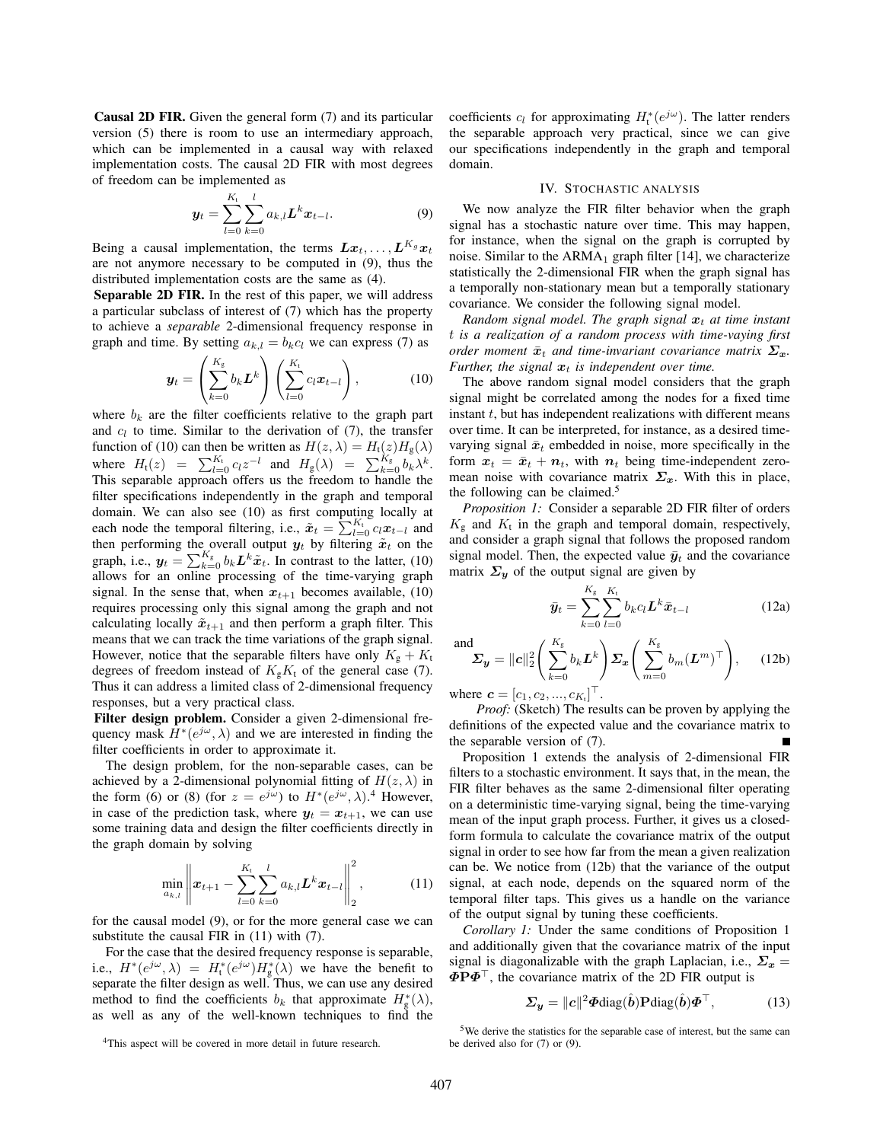Causal 2D FIR. Given the general form (7) and its particular version (5) there is room to use an intermediary approach, which can be implemented in a causal way with relaxed implementation costs. The causal 2D FIR with most degrees of freedom can be implemented as

$$
\mathbf{y}_{t} = \sum_{l=0}^{K_{t}} \sum_{k=0}^{l} a_{k,l} \mathbf{L}^{k} \mathbf{x}_{t-l}.
$$
 (9)

Being a causal implementation, the terms  $Lx_t, \ldots, L^{K_g}x_t$ are not anymore necessary to be computed in (9), thus the distributed implementation costs are the same as (4).

Separable 2D FIR. In the rest of this paper, we will address a particular subclass of interest of (7) which has the property to achieve a *separable* 2-dimensional frequency response in graph and time. By setting  $a_{k,l} = b_k c_l$  we can express (7) as

$$
\boldsymbol{y}_t = \left(\sum_{k=0}^{K_g} b_k \boldsymbol{L}^k\right) \left(\sum_{l=0}^{K_t} c_l \boldsymbol{x}_{t-l}\right), \qquad (10)
$$

where  $b_k$  are the filter coefficients relative to the graph part and  $c_l$  to time. Similar to the derivation of (7), the transfer function of (10) can then be written as  $H(z, \lambda) = H_t(z)H_g(\lambda)$ where  $H_t(z) = \sum_{l=0}^{K_t} c_l z^{-l}$  and  $H_g(\lambda) = \sum_{k=0}^{K_g} b_k \lambda^k$ .<br>This senarable approach offers us the freedom to handle the This separable approach offers us the freedom to handle the filter specifications independently in the graph and temporal domain. We can also see (10) as first computing locally at each node the temporal filtering, i.e.,  $\tilde{x}_t = \sum_{l=0}^{N_t} c_l x_{t-l}$  and then performing the overall output  $u_t$  by filtering  $\tilde{x}_t$  on the then performing the overall output  $y_t$  by filtering  $\tilde{x}_t$  on the graph, i.e.,  $y_t = \sum_{k=0}^{N_g} b_k L^k \tilde{x}_t$ . In contrast to the latter, (10) allows for an online processing of the time-varying graph allows for an online processing of the time-varying graph signal. In the sense that, when  $x_{t+1}$  becomes available, (10) requires processing only this signal among the graph and not calculating locally  $\tilde{x}_{t+1}$  and then perform a graph filter. This means that we can track the time variations of the graph signal. However, notice that the separable filters have only  $K_{\rm g} + K_{\rm t}$ degrees of freedom instead of  $K_{g}K_{t}$  of the general case (7). Thus it can address a limited class of 2-dimensional frequency responses, but a very practical class.

Filter design problem. Consider a given 2-dimensional frequency mask  $H^*(e^{j\omega}, \lambda)$  and we are interested in finding the filter coefficients in order to approximate it.

The design problem, for the non-separable cases, can be achieved by a 2-dimensional polynomial fitting of  $H(z, \lambda)$  in the form (6) or (8) (for  $z = e^{j\omega}$ ) to  $H^*(e^{j\omega}, \lambda)$ .<sup>4</sup> However, in case of the prediction task, where  $y_t = x_{t+1}$ , we can use some training data and design the filter coefficients directly in the graph domain by solving

$$
\min_{a_{k,l}} \left\| \boldsymbol{x}_{t+1} - \sum_{l=0}^{K_{\rm t}} \sum_{k=0}^{l} a_{k,l} \boldsymbol{L}^k \boldsymbol{x}_{t-l} \right\|_2^2, \tag{11}
$$

for the causal model (9), or for the more general case we can substitute the causal FIR in (11) with (7).

For the case that the desired frequency response is separable, i.e.,  $H^*(e^{j\omega}, \lambda) = H^*_t(e^{j\omega})H^*_g(\lambda)$  we have the benefit to separate the filter design as well. Thus, we can use any desired method to find the coefficients  $b_k$  that approximate  $H_g^*(\lambda)$ , as well as any of the well-known techniques to find the

coefficients  $c_l$  for approximating  $H_t^*(e^{j\omega})$ . The latter renders the separable approach very practical, since we can give our specifications independently in the graph and temporal domain.

#### IV. STOCHASTIC ANALYSIS

We now analyze the FIR filter behavior when the graph signal has a stochastic nature over time. This may happen, for instance, when the signal on the graph is corrupted by noise. Similar to the  $ARMA<sub>1</sub>$  graph filter [14], we characterize statistically the 2-dimensional FIR when the graph signal has a temporally non-stationary mean but a temporally stationary covariance. We consider the following signal model.

*Random signal model. The graph signal*  $x_t$  *at time instant* t *is a realization of a random process with time-vaying first order moment*  $\bar{x}_t$  *and time-invariant covariance matrix*  $\Sigma_x$ *. Further, the signal*  $x_t$  *is independent over time.* 

The above random signal model considers that the graph signal might be correlated among the nodes for a fixed time instant  $t$ , but has independent realizations with different means over time. It can be interpreted, for instance, as a desired timevarying signal  $\bar{x}_t$  embedded in noise, more specifically in the form  $x_t = \bar{x}_t + n_t$ , with  $n_t$  being time-independent zeromean noise with covariance matrix  $\Sigma_x$ . With this in place, the following can be claimed.<sup>5</sup>

*Proposition 1:* Consider a separable 2D FIR filter of orders  $K_{\rm g}$  and  $K_{\rm t}$  in the graph and temporal domain, respectively, and consider a graph signal that follows the proposed random signal model. Then, the expected value  $\bar{y}_t$  and the covariance matrix  $\Sigma_y$  of the output signal are given by

$$
\bar{y}_t = \sum_{k=0}^{K_g} \sum_{l=0}^{K_t} b_k c_l \mathbf{L}^k \bar{x}_{t-l}
$$
 (12a)

and  

$$
\Sigma_{\mathbf{y}} = ||\mathbf{c}||_2^2 \left( \sum_{k=0}^{K_{\text{g}}} b_k \mathbf{L}^k \right) \Sigma_{\mathbf{x}} \left( \sum_{m=0}^{K_{\text{g}}} b_m (\mathbf{L}^m)^\top \right), \quad (12b)
$$

where  $\mathbf{c} = [c_1, c_2, ..., c_{K_t}]^{\top}$ .

*Proof:* (Sketch) The results can be proven by applying the definitions of the expected value and the covariance matrix to the separable version of (7).

Proposition 1 extends the analysis of 2-dimensional FIR filters to a stochastic environment. It says that, in the mean, the FIR filter behaves as the same 2-dimensional filter operating on a deterministic time-varying signal, being the time-varying mean of the input graph process. Further, it gives us a closedform formula to calculate the covariance matrix of the output signal in order to see how far from the mean a given realization can be. We notice from (12b) that the variance of the output signal, at each node, depends on the squared norm of the temporal filter taps. This gives us a handle on the variance of the output signal by tuning these coefficients.

*Corollary 1:* Under the same conditions of Proposition 1 and additionally given that the covariance matrix of the input signal is diagonalizable with the graph Laplacian, i.e.,  $\Sigma_x$  = *Φ***P***Φ*-, the covariance matrix of the 2D FIR output is

$$
\Sigma_{y} = ||c||^{2} \Phi \text{diag}(\hat{b}) \mathbf{P} \text{diag}(\hat{b}) \Phi^{\top}, \quad (13)
$$

<sup>4</sup>This aspect will be covered in more detail in future research.

<sup>5</sup>We derive the statistics for the separable case of interest, but the same can be derived also for (7) or (9).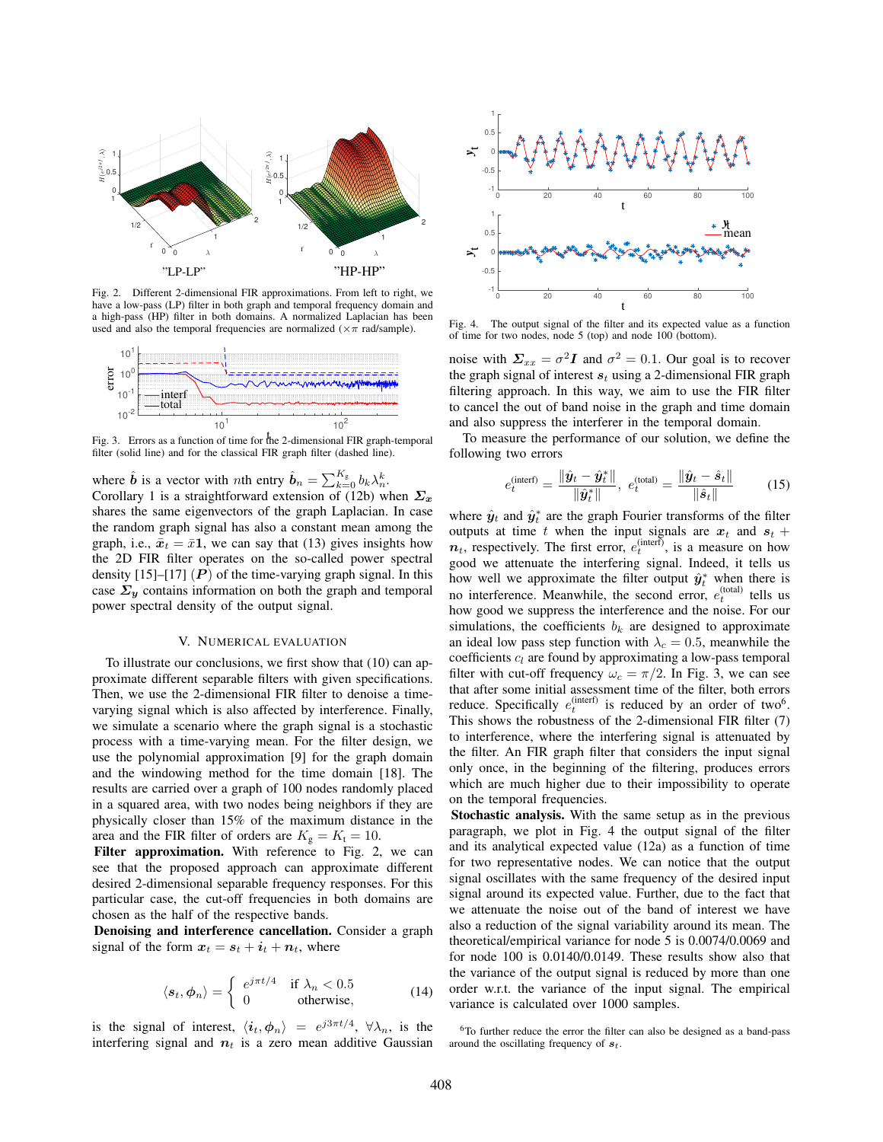

Fig. 2. Different 2-dimensional FIR approximations. From left to right, we have a low-pass (LP) filter in both graph and temporal frequency domain and a high-pass (HP) filter in both domains. A normalized Laplacian has been used and also the temporal frequencies are normalized ( $\times \pi$  rad/sample).



t Fig. 3. Errors as a function of time for the 2-dimensional FIR graph-temporal filter (solid line) and for the classical FIR graph filter (dashed line).

where  $\hat{b}$  is a vector with *n*th entry  $\hat{b}_n = \sum_{k=0}^{K_g} b_k \lambda_n^k$ .<br>Corollary 1 is a straightforward extension of (12b) w Corollary 1 is a straightforward extension of (12b) when *Σ<sup>x</sup>* shares the same eigenvectors of the graph Laplacian. In case the random graph signal has also a constant mean among the graph, i.e.,  $\bar{x}_t = \bar{x}1$ , we can say that (13) gives insights how the 2D FIR filter operates on the so-called power spectral density  $[15]$ – $[17]$   $(P)$  of the time-varying graph signal. In this case  $\Sigma_y$  contains information on both the graph and temporal power spectral density of the output signal.

## V. NUMERICAL EVALUATION

To illustrate our conclusions, we first show that (10) can approximate different separable filters with given specifications. Then, we use the 2-dimensional FIR filter to denoise a timevarying signal which is also affected by interference. Finally, we simulate a scenario where the graph signal is a stochastic process with a time-varying mean. For the filter design, we use the polynomial approximation [9] for the graph domain and the windowing method for the time domain [18]. The results are carried over a graph of 100 nodes randomly placed in a squared area, with two nodes being neighbors if they are physically closer than 15% of the maximum distance in the area and the FIR filter of orders are  $K_g = K_t = 10$ .

Filter approximation. With reference to Fig. 2, we can see that the proposed approach can approximate different desired 2-dimensional separable frequency responses. For this particular case, the cut-off frequencies in both domains are chosen as the half of the respective bands.

Denoising and interference cancellation. Consider a graph signal of the form  $x_t = s_t + i_t + n_t$ , where

$$
\langle s_t, \phi_n \rangle = \begin{cases} e^{j\pi t/4} & \text{if } \lambda_n < 0.5\\ 0 & \text{otherwise,} \end{cases}
$$
 (14)

is the signal of interest,  $\langle i_t, \phi_n \rangle = e^{j3\pi t/4}$ ,  $\forall \lambda_n$ , is the interfering signal and  $n<sub>t</sub>$  is a zero mean additive Gaussian



Fig. 4. The output signal of the filter and its expected value as a function of time for two nodes, node 5 (top) and node 100 (bottom).

noise with  $\Sigma_{xx} = \sigma^2 I$  and  $\sigma^2 = 0.1$ . Our goal is to recover the graph signal of interest  $s_t$  using a 2-dimensional FIR graph filtering approach. In this way, we aim to use the FIR filter to cancel the out of band noise in the graph and time domain and also suppress the interferer in the temporal domain.

To measure the performance of our solution, we define the following two errors

$$
e_t^{\text{(interf)}} = \frac{\|\hat{\bm{y}}_t - \hat{\bm{y}}_t^*\|}{\|\hat{\bm{y}}_t^*\|}, \ e_t^{\text{(total)}} = \frac{\|\hat{\bm{y}}_t - \hat{\bm{s}}_t\|}{\|\hat{\bm{s}}_t\|} \tag{15}
$$

where  $\hat{y}_t$  and  $\hat{y}_t^*$  are the graph Fourier transforms of the filter outputs at time t when the input signals are  $x_t$  and  $s_t$ . outputs at time t when the input signals are  $x_t$  and  $s_t$  +  $n_t$ , respectively. The first error,  $e_t^{\text{(interf)}},$  is a measure on how good we attenuate the interfering signal. Indeed, it tells us how well we approximate the filter output  $\hat{y}^*_{t}$  when there is<br>no interference. Meanwhile, the second error  $e^{(\text{total})}$  tells us no interference. Meanwhile, the second error,  $e_t^{\text{(total)}}$  tells us<br>how good we suppress the interference and the poise. For our how good we suppress the interference and the noise. For our simulations, the coefficients  $b_k$  are designed to approximate an ideal low pass step function with  $\lambda_c = 0.5$ , meanwhile the coefficients  $c_l$  are found by approximating a low-pass temporal filter with cut-off frequency  $\omega_c = \pi/2$ . In Fig. 3, we can see that after some initial assessment time of the filter, both errors reduce. Specifically  $e_t^{(\text{interf})}$  is reduced by an order of two<sup>6</sup>.<br>This shows the robustness of the 2-dimensional EIR filter (7) This shows the robustness of the 2-dimensional FIR filter (7) to interference, where the interfering signal is attenuated by the filter. An FIR graph filter that considers the input signal only once, in the beginning of the filtering, produces errors which are much higher due to their impossibility to operate on the temporal frequencies.

Stochastic analysis. With the same setup as in the previous paragraph, we plot in Fig. 4 the output signal of the filter and its analytical expected value (12a) as a function of time for two representative nodes. We can notice that the output signal oscillates with the same frequency of the desired input signal around its expected value. Further, due to the fact that we attenuate the noise out of the band of interest we have also a reduction of the signal variability around its mean. The theoretical/empirical variance for node 5 is 0.0074/0.0069 and for node 100 is 0.0140/0.0149. These results show also that the variance of the output signal is reduced by more than one order w.r.t. the variance of the input signal. The empirical variance is calculated over 1000 samples.

6To further reduce the error the filter can also be designed as a band-pass around the oscillating frequency of  $s_t$ .